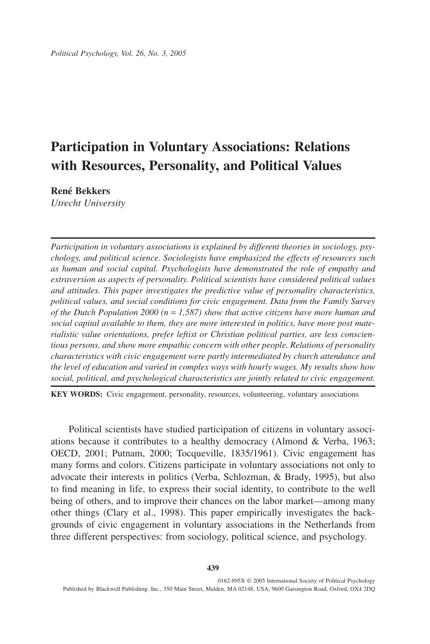# **Participation in Voluntary Associations: Relations with Resources, Personality, and Political Values**

**René Bekkers**

*Utrecht University*

*Participation in voluntary associations is explained by different theories in sociology, psychology, and political science. Sociologists have emphasized the effects of resources such as human and social capital. Psychologists have demonstrated the role of empathy and extraversion as aspects of personality. Political scientists have considered political values and attitudes. This paper investigates the predictive value of personality characteristics, political values, and social conditions for civic engagement. Data from the Family Survey of the Dutch Population 2000 (n* = *1,587) show that active citizens have more human and social capital available to them, they are more interested in politics, have more post materialistic value orientations, prefer leftist or Christian political parties, are less conscientious persons, and show more empathic concern with other people. Relations of personality characteristics with civic engagement were partly intermediated by church attendance and the level of education and varied in complex ways with hourly wages. My results show how social, political, and psychological characteristics are jointly related to civic engagement.*

**KEY WORDS:** Civic engagement, personality, resources, volunteering, voluntary associations

Political scientists have studied participation of citizens in voluntary associations because it contributes to a healthy democracy (Almond & Verba, 1963; OECD, 2001; Putnam, 2000; Tocqueville, 1835/1961). Civic engagement has many forms and colors. Citizens participate in voluntary associations not only to advocate their interests in politics (Verba, Schlozman, & Brady, 1995), but also to find meaning in life, to express their social identity, to contribute to the well being of others, and to improve their chances on the labor market—among many other things (Clary et al., 1998). This paper empirically investigates the backgrounds of civic engagement in voluntary associations in the Netherlands from three different perspectives: from sociology, political science, and psychology.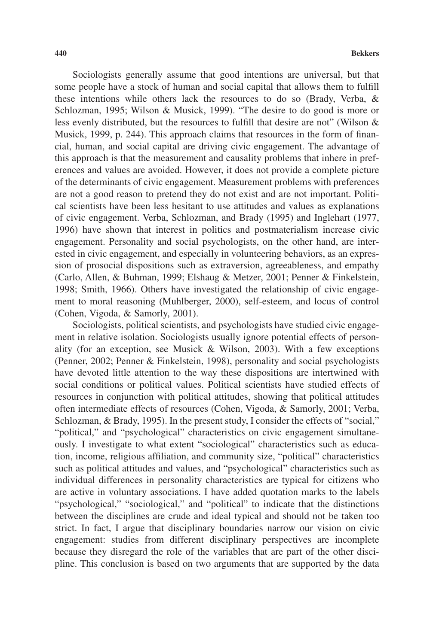Sociologists generally assume that good intentions are universal, but that some people have a stock of human and social capital that allows them to fulfill these intentions while others lack the resources to do so (Brady, Verba, & Schlozman, 1995; Wilson & Musick, 1999). "The desire to do good is more or less evenly distributed, but the resources to fulfill that desire are not" (Wilson & Musick, 1999, p. 244). This approach claims that resources in the form of financial, human, and social capital are driving civic engagement. The advantage of this approach is that the measurement and causality problems that inhere in preferences and values are avoided. However, it does not provide a complete picture of the determinants of civic engagement. Measurement problems with preferences are not a good reason to pretend they do not exist and are not important. Political scientists have been less hesitant to use attitudes and values as explanations of civic engagement. Verba, Schlozman, and Brady (1995) and Inglehart (1977, 1996) have shown that interest in politics and postmaterialism increase civic engagement. Personality and social psychologists, on the other hand, are interested in civic engagement, and especially in volunteering behaviors, as an expression of prosocial dispositions such as extraversion, agreeableness, and empathy (Carlo, Allen, & Buhman, 1999; Elshaug & Metzer, 2001; Penner & Finkelstein, 1998; Smith, 1966). Others have investigated the relationship of civic engagement to moral reasoning (Muhlberger, 2000), self-esteem, and locus of control (Cohen, Vigoda, & Samorly, 2001).

Sociologists, political scientists, and psychologists have studied civic engagement in relative isolation. Sociologists usually ignore potential effects of personality (for an exception, see Musick & Wilson, 2003). With a few exceptions (Penner, 2002; Penner & Finkelstein, 1998), personality and social psychologists have devoted little attention to the way these dispositions are intertwined with social conditions or political values. Political scientists have studied effects of resources in conjunction with political attitudes, showing that political attitudes often intermediate effects of resources (Cohen, Vigoda, & Samorly, 2001; Verba, Schlozman, & Brady, 1995). In the present study, I consider the effects of "social," "political," and "psychological" characteristics on civic engagement simultaneously. I investigate to what extent "sociological" characteristics such as education, income, religious affiliation, and community size, "political" characteristics such as political attitudes and values, and "psychological" characteristics such as individual differences in personality characteristics are typical for citizens who are active in voluntary associations. I have added quotation marks to the labels "psychological," "sociological," and "political" to indicate that the distinctions between the disciplines are crude and ideal typical and should not be taken too strict. In fact, I argue that disciplinary boundaries narrow our vision on civic engagement: studies from different disciplinary perspectives are incomplete because they disregard the role of the variables that are part of the other discipline. This conclusion is based on two arguments that are supported by the data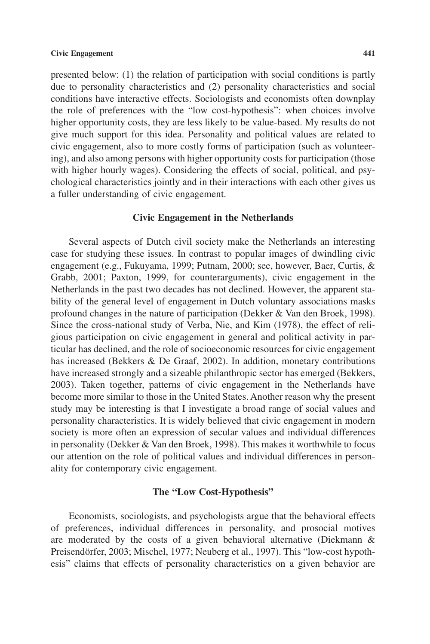presented below: (1) the relation of participation with social conditions is partly due to personality characteristics and (2) personality characteristics and social conditions have interactive effects. Sociologists and economists often downplay the role of preferences with the "low cost-hypothesis": when choices involve higher opportunity costs, they are less likely to be value-based. My results do not give much support for this idea. Personality and political values are related to civic engagement, also to more costly forms of participation (such as volunteering), and also among persons with higher opportunity costs for participation (those with higher hourly wages). Considering the effects of social, political, and psychological characteristics jointly and in their interactions with each other gives us a fuller understanding of civic engagement.

#### **Civic Engagement in the Netherlands**

Several aspects of Dutch civil society make the Netherlands an interesting case for studying these issues. In contrast to popular images of dwindling civic engagement (e.g., Fukuyama, 1999; Putnam, 2000; see, however, Baer, Curtis, & Grabb, 2001; Paxton, 1999, for counterarguments), civic engagement in the Netherlands in the past two decades has not declined. However, the apparent stability of the general level of engagement in Dutch voluntary associations masks profound changes in the nature of participation (Dekker & Van den Broek, 1998). Since the cross-national study of Verba, Nie, and Kim (1978), the effect of religious participation on civic engagement in general and political activity in particular has declined, and the role of socioeconomic resources for civic engagement has increased (Bekkers & De Graaf, 2002). In addition, monetary contributions have increased strongly and a sizeable philanthropic sector has emerged (Bekkers, 2003). Taken together, patterns of civic engagement in the Netherlands have become more similar to those in the United States. Another reason why the present study may be interesting is that I investigate a broad range of social values and personality characteristics. It is widely believed that civic engagement in modern society is more often an expression of secular values and individual differences in personality (Dekker & Van den Broek, 1998). This makes it worthwhile to focus our attention on the role of political values and individual differences in personality for contemporary civic engagement.

## **The "Low Cost-Hypothesis"**

Economists, sociologists, and psychologists argue that the behavioral effects of preferences, individual differences in personality, and prosocial motives are moderated by the costs of a given behavioral alternative (Diekmann & Preisendörfer, 2003; Mischel, 1977; Neuberg et al., 1997). This "low-cost hypothesis" claims that effects of personality characteristics on a given behavior are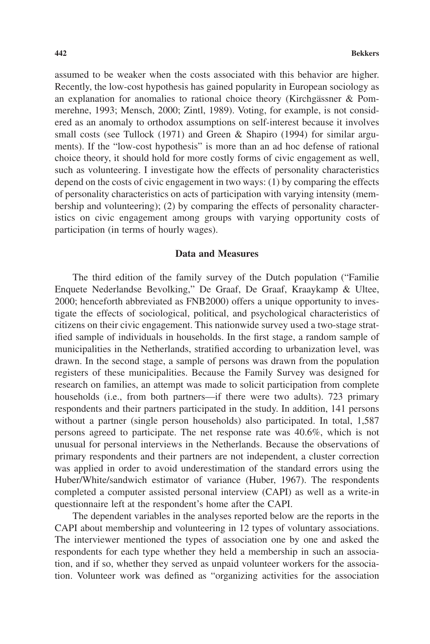assumed to be weaker when the costs associated with this behavior are higher. Recently, the low-cost hypothesis has gained popularity in European sociology as an explanation for anomalies to rational choice theory (Kirchgässner & Pommerehne, 1993; Mensch, 2000; Zintl, 1989). Voting, for example, is not considered as an anomaly to orthodox assumptions on self-interest because it involves small costs (see Tullock (1971) and Green & Shapiro (1994) for similar arguments). If the "low-cost hypothesis" is more than an ad hoc defense of rational choice theory, it should hold for more costly forms of civic engagement as well, such as volunteering. I investigate how the effects of personality characteristics depend on the costs of civic engagement in two ways: (1) by comparing the effects of personality characteristics on acts of participation with varying intensity (membership and volunteering); (2) by comparing the effects of personality characteristics on civic engagement among groups with varying opportunity costs of participation (in terms of hourly wages).

# **Data and Measures**

The third edition of the family survey of the Dutch population ("Familie Enquete Nederlandse Bevolking," De Graaf, De Graaf, Kraaykamp & Ultee, 2000; henceforth abbreviated as FNB2000) offers a unique opportunity to investigate the effects of sociological, political, and psychological characteristics of citizens on their civic engagement. This nationwide survey used a two-stage stratified sample of individuals in households. In the first stage, a random sample of municipalities in the Netherlands, stratified according to urbanization level, was drawn. In the second stage, a sample of persons was drawn from the population registers of these municipalities. Because the Family Survey was designed for research on families, an attempt was made to solicit participation from complete households (i.e., from both partners—if there were two adults). 723 primary respondents and their partners participated in the study. In addition, 141 persons without a partner (single person households) also participated. In total, 1,587 persons agreed to participate. The net response rate was 40.6%, which is not unusual for personal interviews in the Netherlands. Because the observations of primary respondents and their partners are not independent, a cluster correction was applied in order to avoid underestimation of the standard errors using the Huber/White/sandwich estimator of variance (Huber, 1967). The respondents completed a computer assisted personal interview (CAPI) as well as a write-in questionnaire left at the respondent's home after the CAPI.

The dependent variables in the analyses reported below are the reports in the CAPI about membership and volunteering in 12 types of voluntary associations. The interviewer mentioned the types of association one by one and asked the respondents for each type whether they held a membership in such an association, and if so, whether they served as unpaid volunteer workers for the association. Volunteer work was defined as "organizing activities for the association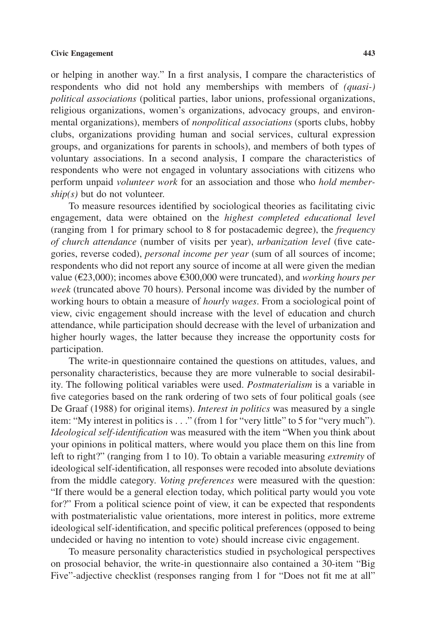or helping in another way." In a first analysis, I compare the characteristics of respondents who did not hold any memberships with members of *(quasi-) political associations* (political parties, labor unions, professional organizations, religious organizations, women's organizations, advocacy groups, and environmental organizations), members of *nonpolitical associations* (sports clubs, hobby clubs, organizations providing human and social services, cultural expression groups, and organizations for parents in schools), and members of both types of voluntary associations. In a second analysis, I compare the characteristics of respondents who were not engaged in voluntary associations with citizens who perform unpaid *volunteer work* for an association and those who *hold membership(s)* but do not volunteer.

To measure resources identified by sociological theories as facilitating civic engagement, data were obtained on the *highest completed educational level* (ranging from 1 for primary school to 8 for postacademic degree), the *frequency of church attendance* (number of visits per year), *urbanization level* (five categories, reverse coded), *personal income per year* (sum of all sources of income; respondents who did not report any source of income at all were given the median value (€23,000); incomes above €300,000 were truncated), and *working hours per week* (truncated above 70 hours). Personal income was divided by the number of working hours to obtain a measure of *hourly wages*. From a sociological point of view, civic engagement should increase with the level of education and church attendance, while participation should decrease with the level of urbanization and higher hourly wages, the latter because they increase the opportunity costs for participation.

The write-in questionnaire contained the questions on attitudes, values, and personality characteristics, because they are more vulnerable to social desirability. The following political variables were used. *Postmaterialism* is a variable in five categories based on the rank ordering of two sets of four political goals (see De Graaf (1988) for original items). *Interest in politics* was measured by a single item: "My interest in politics is.. ." (from 1 for "very little" to 5 for "very much"). *Ideological self-identification* was measured with the item "When you think about your opinions in political matters, where would you place them on this line from left to right?" (ranging from 1 to 10). To obtain a variable measuring *extremity* of ideological self-identification, all responses were recoded into absolute deviations from the middle category. *Voting preferences* were measured with the question: "If there would be a general election today, which political party would you vote for?" From a political science point of view, it can be expected that respondents with postmaterialistic value orientations, more interest in politics, more extreme ideological self-identification, and specific political preferences (opposed to being undecided or having no intention to vote) should increase civic engagement.

To measure personality characteristics studied in psychological perspectives on prosocial behavior, the write-in questionnaire also contained a 30-item "Big Five"-adjective checklist (responses ranging from 1 for "Does not fit me at all"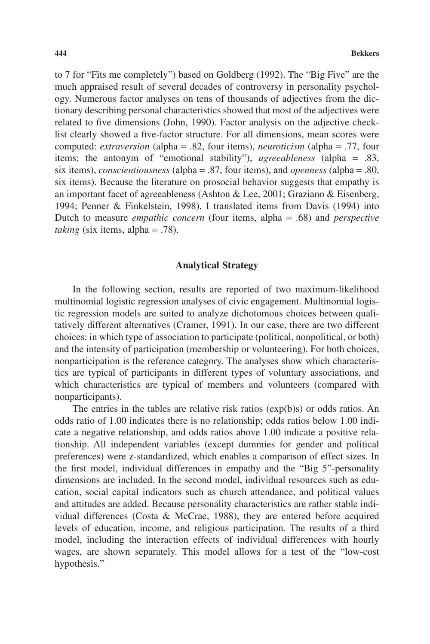to 7 for "Fits me completely") based on Goldberg (1992). The "Big Five" are the much appraised result of several decades of controversy in personality psychology. Numerous factor analyses on tens of thousands of adjectives from the dictionary describing personal characteristics showed that most of the adjectives were related to five dimensions (John, 1990). Factor analysis on the adjective checklist clearly showed a five-factor structure. For all dimensions, mean scores were computed: *extraversion* (alpha = .82, four items), *neuroticism* (alpha = .77, four items; the antonym of "emotional stability"), *agreeableness* (alpha = .83, six items), *conscientiousness* (alpha = .87, four items), and *openness* (alpha = .80, six items). Because the literature on prosocial behavior suggests that empathy is an important facet of agreeableness (Ashton & Lee, 2001; Graziano & Eisenberg, 1994; Penner & Finkelstein, 1998), I translated items from Davis (1994) into Dutch to measure *empathic concern* (four items, alpha = .68) and *perspective taking* (six items, alpha = .78).

## **Analytical Strategy**

In the following section, results are reported of two maximum-likelihood multinomial logistic regression analyses of civic engagement. Multinomial logistic regression models are suited to analyze dichotomous choices between qualitatively different alternatives (Cramer, 1991). In our case, there are two different choices: in which type of association to participate (political, nonpolitical, or both) and the intensity of participation (membership or volunteering). For both choices, nonparticipation is the reference category. The analyses show which characteristics are typical of participants in different types of voluntary associations, and which characteristics are typical of members and volunteers (compared with nonparticipants).

The entries in the tables are relative risk ratios (exp(b)s) or odds ratios. An odds ratio of 1.00 indicates there is no relationship; odds ratios below 1.00 indicate a negative relationship, and odds ratios above 1.00 indicate a positive relationship. All independent variables (except dummies for gender and political preferences) were z-standardized, which enables a comparison of effect sizes. In the first model, individual differences in empathy and the "Big 5"-personality dimensions are included. In the second model, individual resources such as education, social capital indicators such as church attendance, and political values and attitudes are added. Because personality characteristics are rather stable individual differences (Costa & McCrae, 1988), they are entered before acquired levels of education, income, and religious participation. The results of a third model, including the interaction effects of individual differences with hourly wages, are shown separately. This model allows for a test of the "low-cost hypothesis."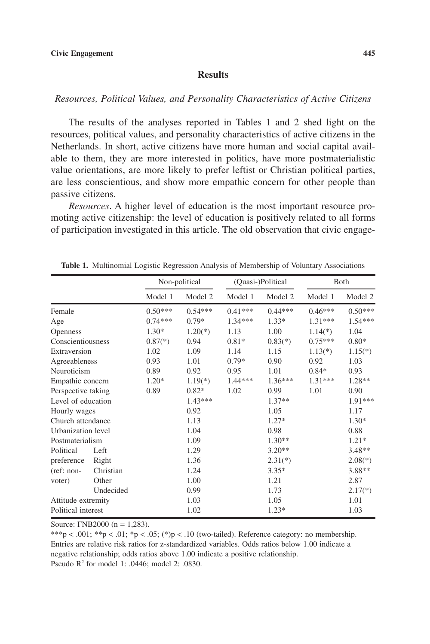# **Results**

# *Resources, Political Values, and Personality Characteristics of Active Citizens*

The results of the analyses reported in Tables 1 and 2 shed light on the resources, political values, and personality characteristics of active citizens in the Netherlands. In short, active citizens have more human and social capital available to them, they are more interested in politics, have more postmaterialistic value orientations, are more likely to prefer leftist or Christian political parties, are less conscientious, and show more empathic concern for other people than passive citizens.

*Resources*. A higher level of education is the most important resource promoting active citizenship: the level of education is positively related to all forms of participation investigated in this article. The old observation that civic engage-

|                    |           | Non-political           |           | (Quasi-)Political |           | <b>B</b> oth |           |
|--------------------|-----------|-------------------------|-----------|-------------------|-----------|--------------|-----------|
|                    |           | Model 1                 | Model 2   | Model 1           | Model 2   | Model 1      | Model 2   |
| Female             |           | $0.50***$               | $0.54***$ | $0.41***$         | $0.44***$ | $0.46***$    | $0.50***$ |
| Age                |           | $0.74***$               | $0.79*$   | $1.34***$         | $1.33*$   | $1.31***$    | $1.54***$ |
| <b>Openness</b>    |           | $1.30*$                 | $1.20(*)$ | 1.13              | 1.00      | $1.14(*)$    | 1.04      |
| Conscientiousness  |           | $0.87$ <sup>(*)</sup> ) | 0.94      | $0.81*$           | $0.83(*)$ | $0.75***$    | $0.80*$   |
| Extraversion       |           | 1.02                    | 1.09      | 1.14              | 1.15      | $1.13(*)$    | $1.15(*)$ |
| Agreeableness      |           | 0.93                    | 1.01      | $0.79*$           | 0.90      | 0.92         | 1.03      |
| Neuroticism        |           | 0.89                    | 0.92      | 0.95              | 1.01      | $0.84*$      | 0.93      |
| Empathic concern   |           | $1.20*$                 | $1.19(*)$ | $1.44***$         | $1.36***$ | $1.31***$    | 1.28**    |
| Perspective taking |           | 0.89                    | $0.82*$   | 1.02              | 0.99      | 1.01         | 0.90      |
| Level of education |           |                         | $1.43***$ |                   | $1.37**$  |              | 1.91***   |
| Hourly wages       |           |                         | 0.92      |                   | 1.05      |              | 1.17      |
| Church attendance  |           |                         | 1.13      |                   | $1.27*$   |              | $1.30*$   |
| Urbanization level |           |                         | 1.04      |                   | 0.98      |              | 0.88      |
| Postmaterialism    |           |                         | 1.09      |                   | $1.30**$  |              | $1.21*$   |
| Political          | Left      |                         | 1.29      |                   | $3.20**$  |              | $3.48**$  |
| preference         | Right     |                         | 1.36      |                   | $2.31(*)$ |              | $2.08(*)$ |
| (ref: non-         | Christian |                         | 1.24      |                   | $3.35*$   |              | 3.88**    |
| voter)             | Other     |                         | 1.00      |                   | 1.21      |              | 2.87      |
|                    | Undecided |                         | 0.99      |                   | 1.73      |              | $2.17(*)$ |
| Attitude extremity |           |                         | 1.03      |                   | 1.05      |              | 1.01      |
| Political interest |           |                         | 1.02      |                   | $1.23*$   |              | 1.03      |

**Table 1.** Multinomial Logistic Regression Analysis of Membership of Voluntary Associations

Source: FNB2000 ( $n = 1.283$ ).

\*\*\*p < .001; \*\*p < .01; \*p < .05; (\*)p < .10 (two-tailed). Reference category: no membership. Entries are relative risk ratios for z-standardized variables. Odds ratios below 1.00 indicate a negative relationship; odds ratios above 1.00 indicate a positive relationship. Pseudo R2 for model 1: .0446; model 2: .0830.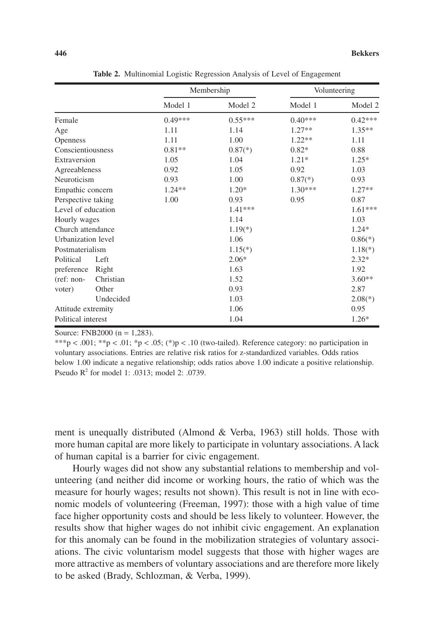|                    |           | Membership |           | Volunteering            |           |
|--------------------|-----------|------------|-----------|-------------------------|-----------|
|                    |           | Model 1    | Model 2   | Model 1                 | Model 2   |
| Female             |           | $0.49***$  | $0.55***$ | $0.40***$               | $0.42***$ |
| Age                |           | 1.11       | 1.14      | $1.27**$                | $1.35***$ |
| <b>Openness</b>    |           | 1.11       | 1.00      | $1.22**$                | 1.11      |
| Conscientiousness  |           | $0.81**$   | $0.87(*)$ | $0.82*$                 | 0.88      |
| Extraversion       |           | 1.05       | 1.04      | $1.21*$                 | $1.25*$   |
| Agreeableness      |           | 0.92       | 1.05      | 0.92                    | 1.03      |
| Neuroticism        |           | 0.93       | 1.00      | $0.87$ <sup>(*)</sup> ) | 0.93      |
| Empathic concern   |           | $1.24**$   | $1.20*$   | $1.30***$               | $1.27**$  |
| Perspective taking |           | 1.00       | 0.93      | 0.95                    | 0.87      |
| Level of education |           |            | $1.41***$ |                         | $1.61***$ |
| Hourly wages       |           |            | 1.14      |                         | 1.03      |
| Church attendance  |           |            | $1.19(*)$ |                         | $1.24*$   |
| Urbanization level |           |            | 1.06      |                         | $0.86(*)$ |
| Postmaterialism    |           |            | $1.15(*)$ |                         | $1.18(*)$ |
| Political          | Left      |            | $2.06*$   |                         | $2.32*$   |
| preference         | Right     |            | 1.63      |                         | 1.92      |
| $(ref: non-$       | Christian |            | 1.52      |                         | $3.60**$  |
| voter)             | Other     |            | 0.93      |                         | 2.87      |
|                    | Undecided |            | 1.03      |                         | $2.08(*)$ |
| Attitude extremity |           | 1.06       |           | 0.95                    |           |
| Political interest |           |            | 1.04      |                         | $1.26*$   |

**Table 2.** Multinomial Logistic Regression Analysis of Level of Engagement

Source: FNB2000 ( $n = 1.283$ ).

\*\*\*p < .001; \*\*p < .01; \*p < .05; (\*)p < .10 (two-tailed). Reference category: no participation in voluntary associations. Entries are relative risk ratios for z-standardized variables. Odds ratios below 1.00 indicate a negative relationship; odds ratios above 1.00 indicate a positive relationship. Pseudo R2 for model 1: .0313; model 2: .0739.

ment is unequally distributed (Almond & Verba, 1963) still holds. Those with more human capital are more likely to participate in voluntary associations. A lack of human capital is a barrier for civic engagement.

Hourly wages did not show any substantial relations to membership and volunteering (and neither did income or working hours, the ratio of which was the measure for hourly wages; results not shown). This result is not in line with economic models of volunteering (Freeman, 1997): those with a high value of time face higher opportunity costs and should be less likely to volunteer. However, the results show that higher wages do not inhibit civic engagement. An explanation for this anomaly can be found in the mobilization strategies of voluntary associations. The civic voluntarism model suggests that those with higher wages are more attractive as members of voluntary associations and are therefore more likely to be asked (Brady, Schlozman, & Verba, 1999).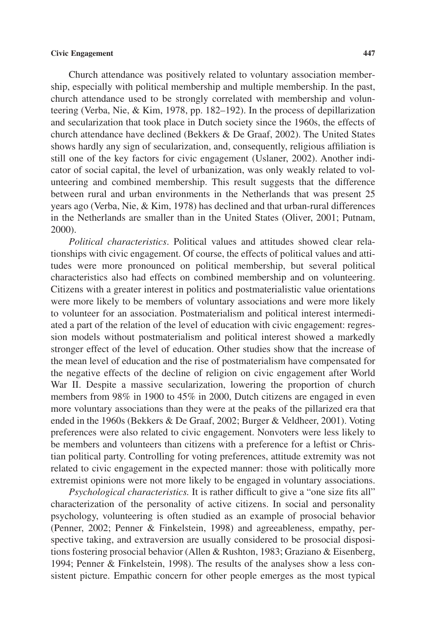## **Civic Engagement 447**

Church attendance was positively related to voluntary association membership, especially with political membership and multiple membership. In the past, church attendance used to be strongly correlated with membership and volunteering (Verba, Nie, & Kim, 1978, pp. 182–192). In the process of depillarization and secularization that took place in Dutch society since the 1960s, the effects of church attendance have declined (Bekkers & De Graaf, 2002). The United States shows hardly any sign of secularization, and, consequently, religious affiliation is still one of the key factors for civic engagement (Uslaner, 2002). Another indicator of social capital, the level of urbanization, was only weakly related to volunteering and combined membership. This result suggests that the difference between rural and urban environments in the Netherlands that was present 25 years ago (Verba, Nie, & Kim, 1978) has declined and that urban-rural differences in the Netherlands are smaller than in the United States (Oliver, 2001; Putnam, 2000).

*Political characteristics*. Political values and attitudes showed clear relationships with civic engagement. Of course, the effects of political values and attitudes were more pronounced on political membership, but several political characteristics also had effects on combined membership and on volunteering. Citizens with a greater interest in politics and postmaterialistic value orientations were more likely to be members of voluntary associations and were more likely to volunteer for an association. Postmaterialism and political interest intermediated a part of the relation of the level of education with civic engagement: regression models without postmaterialism and political interest showed a markedly stronger effect of the level of education. Other studies show that the increase of the mean level of education and the rise of postmaterialism have compensated for the negative effects of the decline of religion on civic engagement after World War II. Despite a massive secularization, lowering the proportion of church members from 98% in 1900 to 45% in 2000, Dutch citizens are engaged in even more voluntary associations than they were at the peaks of the pillarized era that ended in the 1960s (Bekkers & De Graaf, 2002; Burger & Veldheer, 2001). Voting preferences were also related to civic engagement. Nonvoters were less likely to be members and volunteers than citizens with a preference for a leftist or Christian political party. Controlling for voting preferences, attitude extremity was not related to civic engagement in the expected manner: those with politically more extremist opinions were not more likely to be engaged in voluntary associations.

*Psychological characteristics.* It is rather difficult to give a "one size fits all" characterization of the personality of active citizens. In social and personality psychology, volunteering is often studied as an example of prosocial behavior (Penner, 2002; Penner & Finkelstein, 1998) and agreeableness, empathy, perspective taking, and extraversion are usually considered to be prosocial dispositions fostering prosocial behavior (Allen & Rushton, 1983; Graziano & Eisenberg, 1994; Penner & Finkelstein, 1998). The results of the analyses show a less consistent picture. Empathic concern for other people emerges as the most typical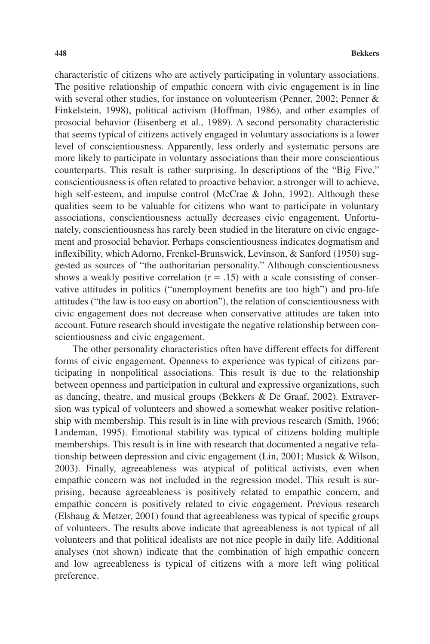characteristic of citizens who are actively participating in voluntary associations. The positive relationship of empathic concern with civic engagement is in line with several other studies, for instance on volunteerism (Penner, 2002; Penner & Finkelstein, 1998), political activism (Hoffman, 1986), and other examples of prosocial behavior (Eisenberg et al., 1989). A second personality characteristic that seems typical of citizens actively engaged in voluntary associations is a lower level of conscientiousness. Apparently, less orderly and systematic persons are more likely to participate in voluntary associations than their more conscientious counterparts. This result is rather surprising. In descriptions of the "Big Five," conscientiousness is often related to proactive behavior, a stronger will to achieve, high self-esteem, and impulse control (McCrae & John, 1992). Although these qualities seem to be valuable for citizens who want to participate in voluntary associations, conscientiousness actually decreases civic engagement. Unfortunately, conscientiousness has rarely been studied in the literature on civic engagement and prosocial behavior. Perhaps conscientiousness indicates dogmatism and inflexibility, which Adorno, Frenkel-Brunswick, Levinson, & Sanford (1950) suggested as sources of "the authoritarian personality." Although conscientiousness shows a weakly positive correlation  $(r = .15)$  with a scale consisting of conservative attitudes in politics ("unemployment benefits are too high") and pro-life attitudes ("the law is too easy on abortion"), the relation of conscientiousness with civic engagement does not decrease when conservative attitudes are taken into account. Future research should investigate the negative relationship between conscientiousness and civic engagement.

The other personality characteristics often have different effects for different forms of civic engagement. Openness to experience was typical of citizens participating in nonpolitical associations. This result is due to the relationship between openness and participation in cultural and expressive organizations, such as dancing, theatre, and musical groups (Bekkers & De Graaf, 2002). Extraversion was typical of volunteers and showed a somewhat weaker positive relationship with membership. This result is in line with previous research (Smith, 1966; Lindeman, 1995). Emotional stability was typical of citizens holding multiple memberships. This result is in line with research that documented a negative relationship between depression and civic engagement (Lin, 2001; Musick & Wilson, 2003). Finally, agreeableness was atypical of political activists, even when empathic concern was not included in the regression model. This result is surprising, because agreeableness is positively related to empathic concern, and empathic concern is positively related to civic engagement. Previous research (Elshaug & Metzer, 2001) found that agreeableness was typical of specific groups of volunteers. The results above indicate that agreeableness is not typical of all volunteers and that political idealists are not nice people in daily life. Additional analyses (not shown) indicate that the combination of high empathic concern and low agreeableness is typical of citizens with a more left wing political preference.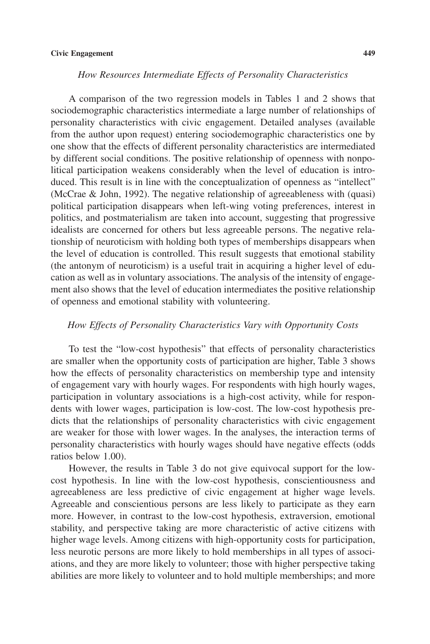#### **Civic Engagement 449**

# *How Resources Intermediate Effects of Personality Characteristics*

A comparison of the two regression models in Tables 1 and 2 shows that sociodemographic characteristics intermediate a large number of relationships of personality characteristics with civic engagement. Detailed analyses (available from the author upon request) entering sociodemographic characteristics one by one show that the effects of different personality characteristics are intermediated by different social conditions. The positive relationship of openness with nonpolitical participation weakens considerably when the level of education is introduced. This result is in line with the conceptualization of openness as "intellect" (McCrae & John, 1992). The negative relationship of agreeableness with (quasi) political participation disappears when left-wing voting preferences, interest in politics, and postmaterialism are taken into account, suggesting that progressive idealists are concerned for others but less agreeable persons. The negative relationship of neuroticism with holding both types of memberships disappears when the level of education is controlled. This result suggests that emotional stability (the antonym of neuroticism) is a useful trait in acquiring a higher level of education as well as in voluntary associations. The analysis of the intensity of engagement also shows that the level of education intermediates the positive relationship of openness and emotional stability with volunteering.

#### *How Effects of Personality Characteristics Vary with Opportunity Costs*

To test the "low-cost hypothesis" that effects of personality characteristics are smaller when the opportunity costs of participation are higher, Table 3 shows how the effects of personality characteristics on membership type and intensity of engagement vary with hourly wages. For respondents with high hourly wages, participation in voluntary associations is a high-cost activity, while for respondents with lower wages, participation is low-cost. The low-cost hypothesis predicts that the relationships of personality characteristics with civic engagement are weaker for those with lower wages. In the analyses, the interaction terms of personality characteristics with hourly wages should have negative effects (odds ratios below 1.00).

However, the results in Table 3 do not give equivocal support for the lowcost hypothesis. In line with the low-cost hypothesis, conscientiousness and agreeableness are less predictive of civic engagement at higher wage levels. Agreeable and conscientious persons are less likely to participate as they earn more. However, in contrast to the low-cost hypothesis, extraversion, emotional stability, and perspective taking are more characteristic of active citizens with higher wage levels. Among citizens with high-opportunity costs for participation, less neurotic persons are more likely to hold memberships in all types of associations, and they are more likely to volunteer; those with higher perspective taking abilities are more likely to volunteer and to hold multiple memberships; and more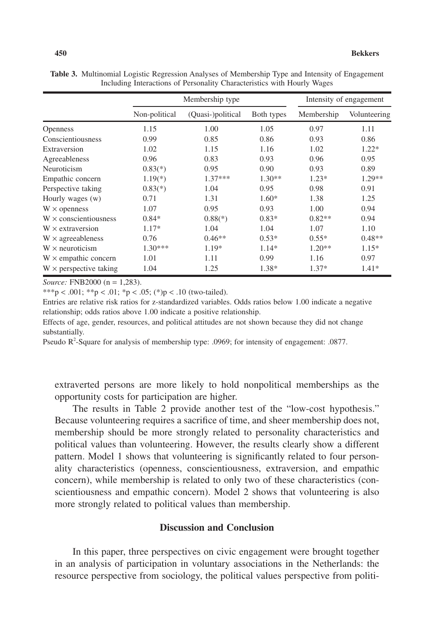|                               | Membership type |                         |            | Intensity of engagement |              |  |
|-------------------------------|-----------------|-------------------------|------------|-------------------------|--------------|--|
|                               | Non-political   | (Quasi-)political       | Both types | Membership              | Volunteering |  |
| <b>Openness</b>               | 1.15            | 1.00                    | 1.05       | 0.97                    | 1.11         |  |
| Conscientiousness             | 0.99            | 0.85                    | 0.86       | 0.93                    | 0.86         |  |
| Extraversion                  | 1.02            | 1.15                    | 1.16       | 1.02                    | $1.22*$      |  |
| Agreeableness                 | 0.96            | 0.83                    | 0.93       | 0.96                    | 0.95         |  |
| Neuroticism                   | $0.83(*)$       | 0.95                    | 0.90       | 0.93                    | 0.89         |  |
| Empathic concern              | $1.19(*)$       | $1.37***$               | $1.30**$   | $1.23*$                 | $1.29**$     |  |
| Perspective taking            | $0.83(*)$       | 1.04                    | 0.95       | 0.98                    | 0.91         |  |
| Hourly wages (w)              | 0.71            | 1.31                    | $1.60*$    | 1.38                    | 1.25         |  |
| $W \times$ openness           | 1.07            | 0.95                    | 0.93       | 1.00                    | 0.94         |  |
| $W \times$ conscientiousness  | $0.84*$         | $0.88$ <sup>(*)</sup> ) | $0.83*$    | $0.82**$                | 0.94         |  |
| $W \times$ extraversion       | $1.17*$         | 1.04                    | 1.04       | 1.07                    | 1.10         |  |
| $W \times$ agreeableness      | 0.76            | $0.46**$                | $0.53*$    | $0.55*$                 | $0.48**$     |  |
| $W \times$ neuroticism        | $1.30***$       | 1.19*                   | $1.14*$    | $1.20**$                | $1.15*$      |  |
| $W \times$ empathic concern   | 1.01            | 1.11                    | 0.99       | 1.16                    | 0.97         |  |
| $W \times$ perspective taking | 1.04            | 1.25                    | 1.38*      | $1.37*$                 | $1.41*$      |  |

**Table 3.** Multinomial Logistic Regression Analyses of Membership Type and Intensity of Engagement Including Interactions of Personality Characteristics with Hourly Wages

*Source:* FNB2000 (n = 1,283).

\*\*\*p < .001; \*\*p < .01; \*p < .05; (\*)p < .10 (two-tailed).

Entries are relative risk ratios for z-standardized variables. Odds ratios below 1.00 indicate a negative relationship; odds ratios above 1.00 indicate a positive relationship.

Effects of age, gender, resources, and political attitudes are not shown because they did not change substantially.

Pseudo R<sup>2</sup>-Square for analysis of membership type: .0969; for intensity of engagement: .0877.

extraverted persons are more likely to hold nonpolitical memberships as the opportunity costs for participation are higher.

The results in Table 2 provide another test of the "low-cost hypothesis." Because volunteering requires a sacrifice of time, and sheer membership does not, membership should be more strongly related to personality characteristics and political values than volunteering. However, the results clearly show a different pattern. Model 1 shows that volunteering is significantly related to four personality characteristics (openness, conscientiousness, extraversion, and empathic concern), while membership is related to only two of these characteristics (conscientiousness and empathic concern). Model 2 shows that volunteering is also more strongly related to political values than membership.

# **Discussion and Conclusion**

In this paper, three perspectives on civic engagement were brought together in an analysis of participation in voluntary associations in the Netherlands: the resource perspective from sociology, the political values perspective from politi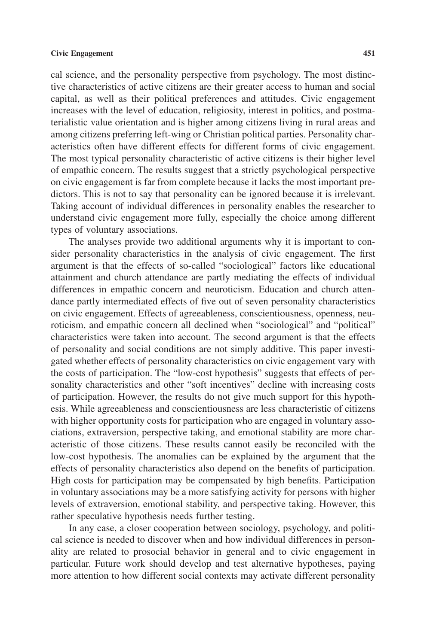cal science, and the personality perspective from psychology. The most distinctive characteristics of active citizens are their greater access to human and social capital, as well as their political preferences and attitudes. Civic engagement increases with the level of education, religiosity, interest in politics, and postmaterialistic value orientation and is higher among citizens living in rural areas and among citizens preferring left-wing or Christian political parties. Personality characteristics often have different effects for different forms of civic engagement. The most typical personality characteristic of active citizens is their higher level of empathic concern. The results suggest that a strictly psychological perspective on civic engagement is far from complete because it lacks the most important predictors. This is not to say that personality can be ignored because it is irrelevant. Taking account of individual differences in personality enables the researcher to understand civic engagement more fully, especially the choice among different types of voluntary associations.

The analyses provide two additional arguments why it is important to consider personality characteristics in the analysis of civic engagement. The first argument is that the effects of so-called "sociological" factors like educational attainment and church attendance are partly mediating the effects of individual differences in empathic concern and neuroticism. Education and church attendance partly intermediated effects of five out of seven personality characteristics on civic engagement. Effects of agreeableness, conscientiousness, openness, neuroticism, and empathic concern all declined when "sociological" and "political" characteristics were taken into account. The second argument is that the effects of personality and social conditions are not simply additive. This paper investigated whether effects of personality characteristics on civic engagement vary with the costs of participation. The "low-cost hypothesis" suggests that effects of personality characteristics and other "soft incentives" decline with increasing costs of participation. However, the results do not give much support for this hypothesis. While agreeableness and conscientiousness are less characteristic of citizens with higher opportunity costs for participation who are engaged in voluntary associations, extraversion, perspective taking, and emotional stability are more characteristic of those citizens. These results cannot easily be reconciled with the low-cost hypothesis. The anomalies can be explained by the argument that the effects of personality characteristics also depend on the benefits of participation. High costs for participation may be compensated by high benefits. Participation in voluntary associations may be a more satisfying activity for persons with higher levels of extraversion, emotional stability, and perspective taking. However, this rather speculative hypothesis needs further testing.

In any case, a closer cooperation between sociology, psychology, and political science is needed to discover when and how individual differences in personality are related to prosocial behavior in general and to civic engagement in particular. Future work should develop and test alternative hypotheses, paying more attention to how different social contexts may activate different personality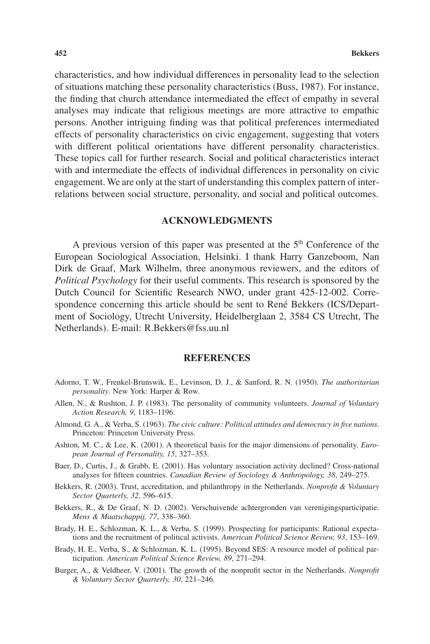characteristics, and how individual differences in personality lead to the selection of situations matching these personality characteristics (Buss, 1987). For instance, the finding that church attendance intermediated the effect of empathy in several analyses may indicate that religious meetings are more attractive to empathic persons. Another intriguing finding was that political preferences intermediated effects of personality characteristics on civic engagement, suggesting that voters with different political orientations have different personality characteristics. These topics call for further research. Social and political characteristics interact with and intermediate the effects of individual differences in personality on civic engagement. We are only at the start of understanding this complex pattern of interrelations between social structure, personality, and social and political outcomes.

# **ACKNOWLEDGMENTS**

A previous version of this paper was presented at the 5<sup>th</sup> Conference of the European Sociological Association, Helsinki. I thank Harry Ganzeboom, Nan Dirk de Graaf, Mark Wilhelm, three anonymous reviewers, and the editors of *Political Psychology* for their useful comments. This research is sponsored by the Dutch Council for Scientific Research NWO, under grant 425-12-002. Correspondence concerning this article should be sent to René Bekkers (ICS/Department of Sociology, Utrecht University, Heidelberglaan 2, 3584 CS Utrecht, The Netherlands). E-mail: R.Bekkers@fss.uu.nl

## **REFERENCES**

- Adorno, T. W., Frenkel-Brunswik, E., Levinson, D. J., & Sanford, R. N. (1950). *The authoritarian personality*. New York: Harper & Row.
- Allen, N., & Rushton, J. P. (1983). The personality of community volunteers. *Journal of Voluntary Action Research, 9*, 1183–1196.
- Almond, G. A., & Verba, S. (1963). *The civic culture: Political attitudes and democracy in five nations*. Princeton: Princeton University Press.
- Ashton, M. C., & Lee, K. (2001). A theoretical basis for the major dimensions of personality. *European Journal of Personality, 15*, 327–353.
- Baer, D., Curtis, J., & Grabb, E. (2001). Has voluntary association activity declined? Cross-national analyses for fifteen countries. *Canadian Review of Sociology & Anthropology, 38*, 249–275.
- Bekkers, R. (2003). Trust, accreditation, and philanthropy in the Netherlands. *Nonprofit & Voluntary Sector Quarterly, 32*, 596–615.
- Bekkers, R., & De Graaf, N. D. (2002). Verschuivende achtergronden van verenigingsparticipatie. *Mens & Maatschappij, 77*, 338–360.
- Brady, H. E., Schlozman, K. L., & Verba, S. (1999). Prospecting for participants: Rational expectations and the recruitment of political activists. *American Political Science Review, 93*, 153–169.
- Brady, H. E., Verba, S., & Schlozman, K. L. (1995). Beyond SES: A resource model of political participation. *American Political Science Review, 89*, 271–294.
- Burger, A., & Veldheer, V. (2001). The growth of the nonprofit sector in the Netherlands. *Nonprofit & Voluntary Sector Quarterly, 30*, 221–246.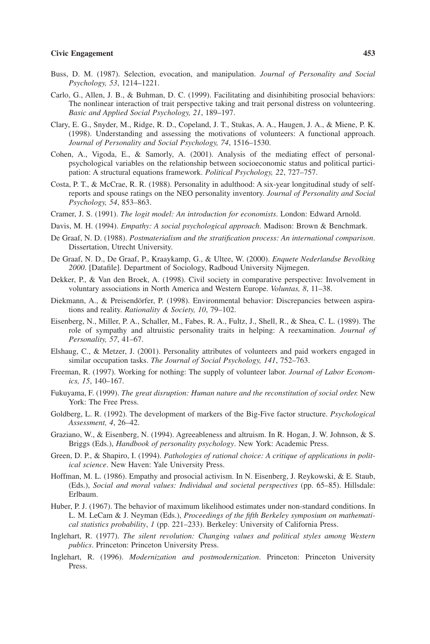#### **Civic Engagement 453**

- Buss, D. M. (1987). Selection, evocation, and manipulation. *Journal of Personality and Social Psychology, 53*, 1214–1221.
- Carlo, G., Allen, J. B., & Buhman, D. C. (1999). Facilitating and disinhibiting prosocial behaviors: The nonlinear interaction of trait perspective taking and trait personal distress on volunteering. *Basic and Applied Social Psychology, 21*, 189–197.
- Clary, E. G., Snyder, M., Ridge, R. D., Copeland, J. T., Stukas, A. A., Haugen, J. A., & Miene, P. K. (1998). Understanding and assessing the motivations of volunteers: A functional approach. *Journal of Personality and Social Psychology, 74*, 1516–1530.
- Cohen, A., Vigoda, E., & Samorly, A. (2001). Analysis of the mediating effect of personalpsychological variables on the relationship between socioeconomic status and political participation: A structural equations framework. *Political Psychology, 22*, 727–757.
- Costa, P. T., & McCrae, R. R. (1988). Personality in adulthood: A six-year longitudinal study of selfreports and spouse ratings on the NEO personality inventory. *Journal of Personality and Social Psychology, 54*, 853–863.
- Cramer, J. S. (1991). *The logit model: An introduction for economists*. London: Edward Arnold.
- Davis, M. H. (1994). *Empathy: A social psychological approach*. Madison: Brown & Benchmark.
- De Graaf, N. D. (1988). *Postmaterialism and the stratification process: An international comparison*. Dissertation, Utrecht University.
- De Graaf, N. D., De Graaf, P., Kraaykamp, G., & Ultee, W. (2000). *Enquete Nederlandse Bevolking 2000*. [Datafile]. Department of Sociology, Radboud University Nijmegen.
- Dekker, P., & Van den Broek, A. (1998). Civil society in comparative perspective: Involvement in voluntary associations in North America and Western Europe. *Voluntas, 8*, 11–38.
- Diekmann, A., & Preisendörfer, P. (1998). Environmental behavior: Discrepancies between aspirations and reality. *Rationality & Society, 10*, 79–102.
- Eisenberg, N., Miller, P. A., Schaller, M., Fabes, R. A., Fultz, J., Shell, R., & Shea, C. L. (1989). The role of sympathy and altruistic personality traits in helping: A reexamination. *Journal of Personality, 57*, 41–67.
- Elshaug, C., & Metzer, J. (2001). Personality attributes of volunteers and paid workers engaged in similar occupation tasks. *The Journal of Social Psychology, 141*, 752–763.
- Freeman, R. (1997). Working for nothing: The supply of volunteer labor. *Journal of Labor Economics, 15*, 140–167.
- Fukuyama, F. (1999). *The great disruption: Human nature and the reconstitution of social order.* New York: The Free Press.
- Goldberg, L. R. (1992). The development of markers of the Big-Five factor structure. *Psychological Assessment, 4*, 26–42.
- Graziano, W., & Eisenberg, N. (1994). Agreeableness and altruism. In R. Hogan, J. W. Johnson, & S. Briggs (Eds.), *Handbook of personality psychology*. New York: Academic Press.
- Green, D. P., & Shapiro, I. (1994). *Pathologies of rational choice: A critique of applications in political science*. New Haven: Yale University Press.
- Hoffman, M. L. (1986). Empathy and prosocial activism. In N. Eisenberg, J. Reykowski, & E. Staub, (Eds.), *Social and moral values: Individual and societal perspectives* (pp. 65–85). Hillsdale: Erlbaum.
- Huber, P. J. (1967). The behavior of maximum likelihood estimates under non-standard conditions. In L. M. LeCam & J. Neyman (Eds.), *Proceedings of the fifth Berkeley symposium on mathematical statistics probability*, *1* (pp. 221–233). Berkeley: University of California Press.
- Inglehart, R. (1977). *The silent revolution: Changing values and political styles among Western publics*. Princeton: Princeton University Press.
- Inglehart, R. (1996). *Modernization and postmodernization*. Princeton: Princeton University Press.